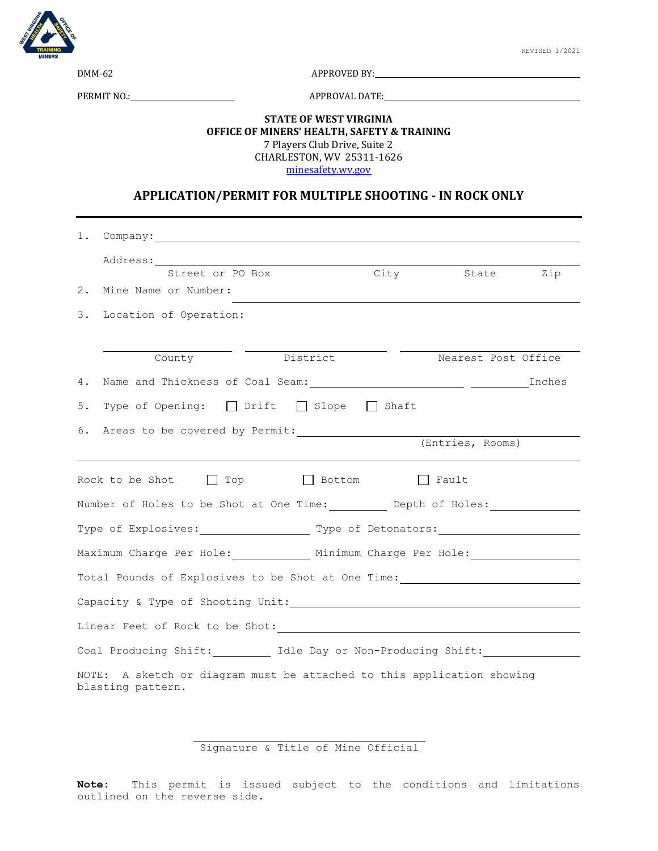

DMM-62 APPROVED BY:

PERMIT NO.: APPROVAL DATE:

## **STATE OF WEST VIRGINIA OFFICE OF MINERS' HEALTH, SAFETY & TRAINING** 7 Players Club Drive, Suite 2 CHARLESTON, WV 25311-1626 [minesafety.wv.gov](https://minesafety.wv.gov/)

## **APPLICATION/PERMIT FOR MULTIPLE SHOOTING - IN ROCK ONLY**

|                                                                                                                                                                                                                                | Street or PO Box                         |          | City | State Zip           |  |
|--------------------------------------------------------------------------------------------------------------------------------------------------------------------------------------------------------------------------------|------------------------------------------|----------|------|---------------------|--|
| 2.                                                                                                                                                                                                                             | Mine Name or Number:                     |          |      |                     |  |
|                                                                                                                                                                                                                                | 3. Location of Operation:                |          |      |                     |  |
|                                                                                                                                                                                                                                |                                          |          |      |                     |  |
|                                                                                                                                                                                                                                | County                                   | District |      | Nearest Post Office |  |
| 4.                                                                                                                                                                                                                             |                                          |          |      |                     |  |
| 5.                                                                                                                                                                                                                             | Type of Opening: □ Drift □ Slope □ Shaft |          |      |                     |  |
|                                                                                                                                                                                                                                |                                          |          |      |                     |  |
|                                                                                                                                                                                                                                |                                          |          |      | (Entries, Rooms)    |  |
| Rock to be Shot $\Box$ Top $\Box$ Bottom $\Box$ Fault                                                                                                                                                                          |                                          |          |      |                     |  |
| Number of Holes to be Shot at One Time: Depth of Holes:                                                                                                                                                                        |                                          |          |      |                     |  |
| Type of Explosives: Type of Detonators:                                                                                                                                                                                        |                                          |          |      |                     |  |
| Maximum Charge Per Hole: Minimum Charge Per Hole:                                                                                                                                                                              |                                          |          |      |                     |  |
| Total Pounds of Explosives to be Shot at One Time:                                                                                                                                                                             |                                          |          |      |                     |  |
|                                                                                                                                                                                                                                |                                          |          |      |                     |  |
| Linear Feet of Rock to be Shot: \\efficient \\efficient \\efficient \\efficient \\efficient \\efficient \\efficient \\efficient \\efficient \\efficient \\efficient \\efficient \\efficient \\efficient \\efficient \\efficien |                                          |          |      |                     |  |
| Coal Producing Shift: Idle Day or Non-Producing Shift:                                                                                                                                                                         |                                          |          |      |                     |  |
| NOTE: A sketch or diagram must be attached to this application showing<br>blasting pattern.                                                                                                                                    |                                          |          |      |                     |  |

Signature & Title of Mine Official

**Note:** This permit is issued subject to the conditions and limitations outlined on the reverse side.